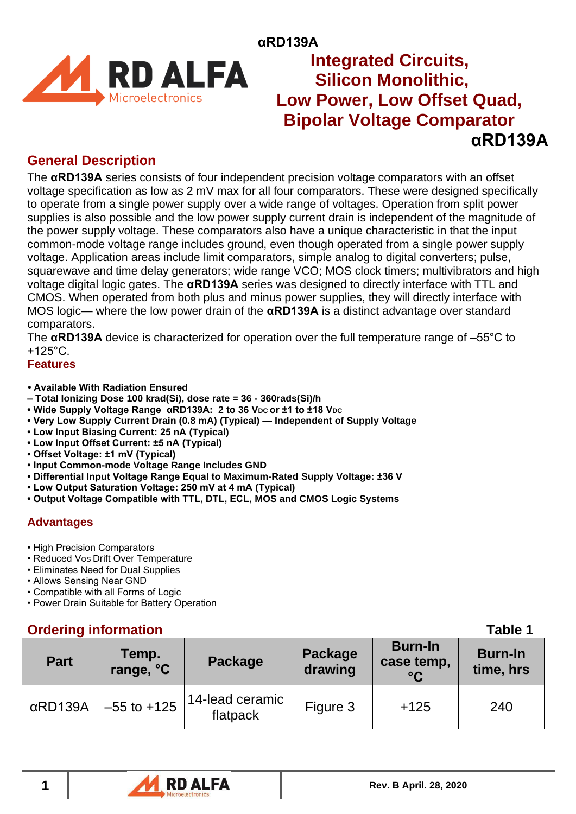

## **αRD139A RD ALFA** Integrated Circuits,  **Silicon Monolithic, EXALTA** Silicon Monolithic,<br>Microelectronics Low Power, Low Offset Quad,  **Bipolar Voltage Comparator αRD139A**

## **General Description**

The **αRD139A** series consists of four independent precision voltage comparators with an offset voltage specification as low as 2 mV max for all four comparators. These were designed specifically to operate from a single power supply over a wide range of voltages. Operation from split power supplies is also possible and the low power supply current drain is independent of the magnitude of the power supply voltage. These comparators also have a unique characteristic in that the input common-mode voltage range includes ground, even though operated from a single power supply voltage. Application areas include limit comparators, simple analog to digital converters; pulse, squarewave and time delay generators; wide range VCO; MOS clock timers; multivibrators and high voltage digital logic gates. The **αRD139A** series was designed to directly interface with TTL and CMOS. When operated from both plus and minus power supplies, they will directly interface with MOS logic— where the low power drain of the **αRD139A** is a distinct advantage over standard comparators.

The **αRD139A** device is characterized for operation over the full temperature range of –55°C to +125°C.

**Features** 

- **<sup>2</sup> Available With Radiation Ensured**
- **– Total Ionizing Dose 100 krad(Si), dose rate = 36 - 360rads(Si)/h**
- **Wide Supply Voltage Range αRD139A: 2 to 36 VDC or ±1 to ±18 VDC**
- **Very Low Supply Current Drain (0.8 mA) (Typical) — Independent of Supply Voltage**
- **Low Input Biasing Current: 25 nA (Typical)**
- **Low Input Offset Current: ±5 nA (Typical)**
- **Offset Voltage: ±1 mV (Typical)**
- **Input Common-mode Voltage Range Includes GND**
- **Differential Input Voltage Range Equal to Maximum-Rated Supply Voltage: ±36 V**
- **Low Output Saturation Voltage: 250 mV at 4 mA (Typical)**
- **Output Voltage Compatible with TTL, DTL, ECL, MOS and CMOS Logic Systems**

### **Advantages**

- High Precision Comparators
- Reduced VOS Drift Over Temperature
- Eliminates Need for Dual Supplies
- Allows Sensing Near GND
- Compatible with all Forms of Logic
- Power Drain Suitable for Battery Operation

## **Ordering information Table 1**

| <b>Urdering information</b> |                    |                             |                                                                       |        |                             |  |  |
|-----------------------------|--------------------|-----------------------------|-----------------------------------------------------------------------|--------|-----------------------------|--|--|
| <b>Part</b>                 | Temp.<br>range, °C | Package                     | <b>Burn-In</b><br>Package<br>case temp,<br>drawing<br>$\rm ^{\circ}C$ |        | <b>Burn-In</b><br>time, hrs |  |  |
| $\alpha$ RD139A             | $-55$ to $+125$    | 14-lead ceramic<br>flatpack | Figure 3                                                              | $+125$ | 240                         |  |  |

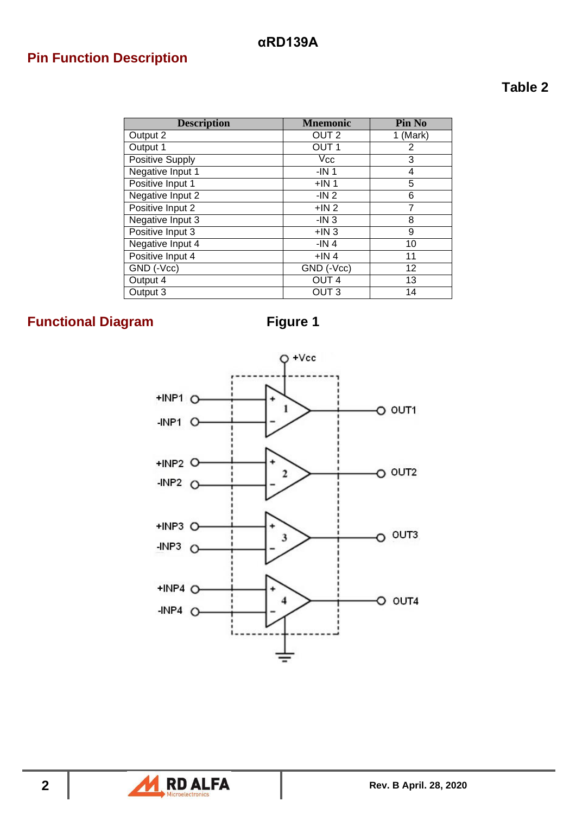# **Pin Function Description**

## **Table 2**

| <b>Description</b> | <b>Mnemonic</b>  | Pin No     |
|--------------------|------------------|------------|
| Output 2           | OUT <sub>2</sub> | $1$ (Mark) |
| Output 1           | OUT <sub>1</sub> | 2          |
| Positive Supply    | $V_{\rm CC}$     | 3          |
| Negative Input 1   | $-IN1$           | 4          |
| Positive Input 1   | $+IN1$           | 5          |
| Negative Input 2   | -IN 2            | 6          |
| Positive Input 2   | $+IN2$           | 7          |
| Negative Input 3   | $-IN3$           | 8          |
| Positive Input 3   | $+IN3$           | 9          |
| Negative Input 4   | $-IN4$           | 10         |
| Positive Input 4   | $+IN4$           | 11         |
| GND (-Vcc)         | GND (-Vcc)       | 12         |
| Output 4           | OUT <sub>4</sub> | 13         |
| Output 3           | OUT <sub>3</sub> | 14         |

# **Functional Diagram Figure 1**



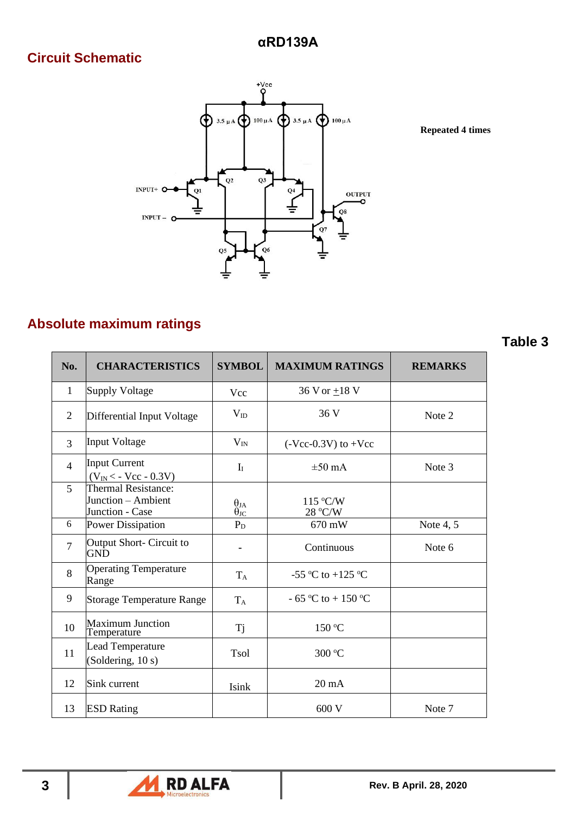# **Circuit Schematic**



**Repeated 4 times**

## **Absolute maximum ratings**

| No.            | <b>CHARACTERISTICS</b>                                              | <b>SYMBOL</b>                      | <b>MAXIMUM RATINGS</b>  | <b>REMARKS</b> |
|----------------|---------------------------------------------------------------------|------------------------------------|-------------------------|----------------|
| $\mathbf{1}$   | <b>Supply Voltage</b>                                               | Vcc                                | 36 V or $\pm$ 18 V      |                |
| 2              | Differential Input Voltage                                          | $V_{ID}$                           | 36 V                    | Note 2         |
| 3              | <b>Input Voltage</b>                                                | $V_{IN}$                           | $(-Vcc-0.3V)$ to $+Vcc$ |                |
| $\overline{4}$ | <b>Input Current</b><br>$(V_{IN} < -$ Vcc - 0.3V)                   | $I_I$                              | $\pm 50$ mA             | Note 3         |
| 5              | <b>Thermal Resistance:</b><br>Junction - Ambient<br>Junction - Case | $\theta_{JA}$<br>$\theta_{\rm JC}$ | 115 °C/W<br>28 °C/W     |                |
| 6              | <b>Power Dissipation</b>                                            | $P_D$                              | 670 mW                  | Note $4, 5$    |
| $\tau$         | Output Short- Circuit to<br><b>GND</b>                              |                                    | Continuous              | Note 6         |
| 8              | <b>Operating Temperature</b><br>Range                               | $T_A$                              | -55 °C to +125 °C       |                |
| 9              | <b>Storage Temperature Range</b>                                    | $T_A$                              | $-65$ °C to $+150$ °C   |                |
| 10             | <b>Maximum Junction</b><br>Temperature                              | <b>Tj</b>                          | 150 °C                  |                |
| 11             | <b>Lead Temperature</b><br>(Soldering, 10 s)                        | <b>Tsol</b>                        | 300 °C                  |                |
| 12             | Sink current                                                        | Isink                              | $20 \text{ mA}$         |                |
| 13             | <b>ESD Rating</b>                                                   |                                    | 600V                    | Note 7         |



### **Table 3**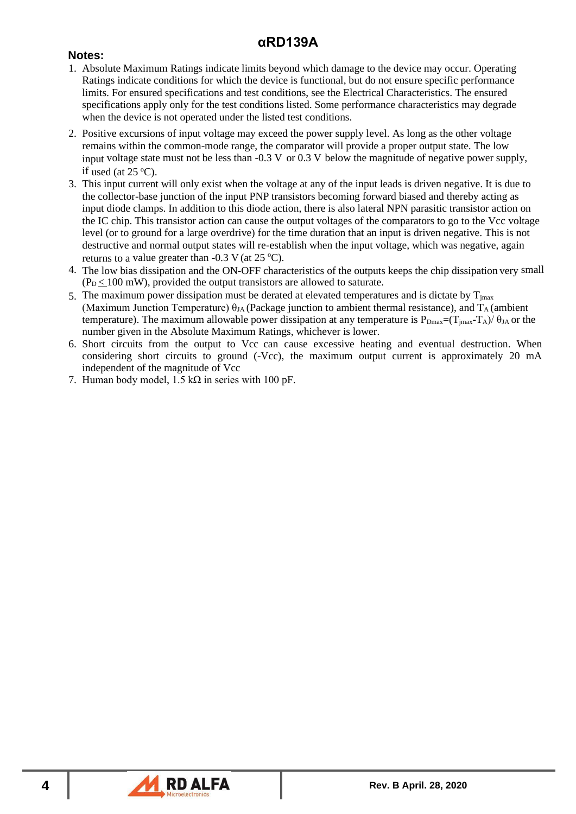### **Notes:**

- 1. Absolute Maximum Ratings indicate limits beyond which damage to the device may occur. Operating Ratings indicate conditions for which the device is functional, but do not ensure specific performance limits. For ensured specifications and test conditions, see the Electrical Characteristics. The ensured specifications apply only for the test conditions listed. Some performance characteristics may degrade when the device is not operated under the listed test conditions.
- 2. Positive excursions of input voltage may exceed the power supply level. As long as the other voltage remains within the common-mode range, the comparator will provide a proper output state. The low input voltage state must not be less than  $-0.3$  V or  $0.3$  V below the magnitude of negative power supply, if used (at  $25^{\circ}$ C).
- 3. This input current will only exist when the voltage at any of the input leads is driven negative. It is due to the collector-base junction of the input PNP transistors becoming forward biased and thereby acting as input diode clamps. In addition to this diode action, there is also lateral NPN parasitic transistor action on the IC chip. This transistor action can cause the output voltages of the comparators to go to the Vcc voltage level (or to ground for a large overdrive) for the time duration that an input is driven negative. This is not destructive and normal output states will re-establish when the input voltage, which was negative, again returns to a value greater than  $-0.3$  V (at  $25$  °C).
- 4. The low bias dissipation and the ON-OFF characteristics of the outputs keeps the chip dissipation very small  $(P_D < 100$  mW), provided the output transistors are allowed to saturate.
- 5. The maximum power dissipation must be derated at elevated temperatures and is dictate by  $T_{\text{imax}}$ (Maximum Junction Temperature)  $\theta_{JA}$  (Package junction to ambient thermal resistance), and  $T_A$  (ambient temperature). The maximum allowable power dissipation at any temperature is  $P_{Dmax}=(T_{imax}-T_A)/\theta_{JA}$  or the number given in the Absolute Maximum Ratings, whichever is lower.
- 6. Short circuits from the output to Vcc can cause excessive heating and eventual destruction. When considering short circuits to ground (-Vcc), the maximum output current is approximately 20 mA independent of the magnitude of Vcc
- 7. Human body model,  $1.5 \text{ k}\Omega$  in series with 100 pF.

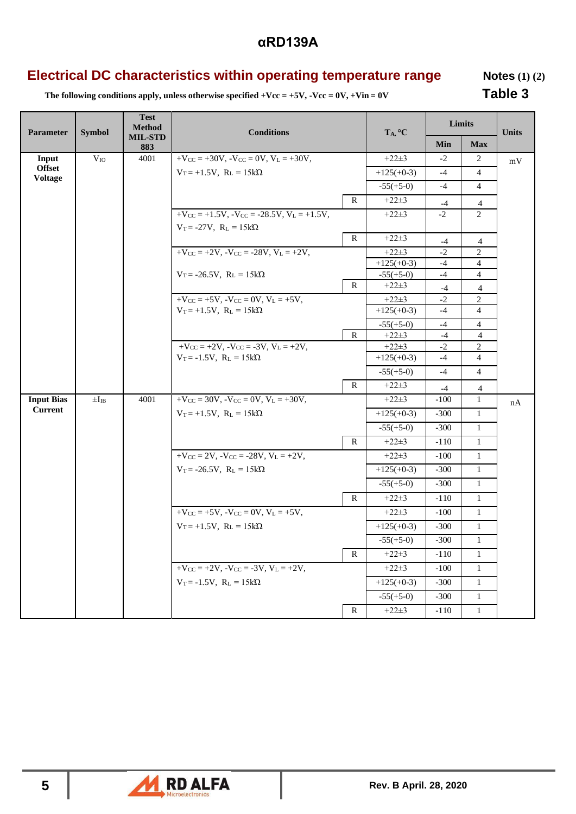## **Electrical DC characteristics within operating temperature range Motes (1) (2)**

The following conditions apply, unless otherwise specified +Vcc = +5V, -Vcc = 0V, +Vin = 0V **Table 3** 

| Parameter                       | <b>Symbol</b> | <b>Test</b><br><b>Method</b> | <b>Conditions</b>                                                                                  |              | $T_A, {}^{\circ}C$     | Limits       |                     | <b>Units</b> |
|---------------------------------|---------------|------------------------------|----------------------------------------------------------------------------------------------------|--------------|------------------------|--------------|---------------------|--------------|
|                                 |               | <b>MIL-STD</b><br>883        |                                                                                                    |              |                        | Min          | <b>Max</b>          |              |
| Input                           | $V_{IO}$      | 4001                         | $+V_{CC} = +30V$ , $-V_{CC} = 0V$ , $V_L = +30V$ ,                                                 |              | $+22+3$                | $-2$         | 2                   | mV           |
| <b>Offset</b><br><b>Voltage</b> |               |                              | $V_T = +1.5V$ , $R_L = 15k\Omega$                                                                  |              | $+125(+0-3)$           | $-4$         | 4                   |              |
|                                 |               |                              |                                                                                                    |              | $-55(+5-0)$            | $-4$         | $\overline{4}$      |              |
|                                 |               |                              |                                                                                                    | $\mathbb{R}$ | $+22+3$                | $-4$         | $\overline{4}$      |              |
|                                 |               |                              | $+V_{CC} = +1.5V$ , $-V_{CC} = -28.5V$ , $V_L = +1.5V$ ,                                           |              | $+22+3$                | $-2$         | $\overline{2}$      |              |
|                                 |               |                              | $V_T = -27V$ , $R_L = 15k\Omega$                                                                   |              |                        |              |                     |              |
|                                 |               |                              |                                                                                                    | $\mathbb{R}$ | $+22+3$                | $-4$         | $\overline{4}$      |              |
|                                 |               |                              | $+V_{CC} = +2V$ , $-V_{CC} = -28V$ , $V_L = +2V$ ,                                                 |              | $+22+3$                | $-2$         | 2                   |              |
|                                 |               |                              |                                                                                                    |              | $+125(+0-3)$           | $-4$         | $\overline{4}$      |              |
|                                 |               |                              | $V_T = -26.5V$ , $R_L = 15k\Omega$                                                                 |              | $-55(+5-0)$            | $-4$         | $\overline{4}$      |              |
|                                 |               |                              |                                                                                                    | $\mathbb{R}$ | $+22+3$                | $-4$         | 4                   |              |
|                                 |               |                              | $+V_{CC}$ = +5V, -V <sub>CC</sub> = 0V, V <sub>L</sub> = +5V,<br>$V_T = +1.5V$ , $R_L = 15k\Omega$ |              | $+22+3$                | $-2$<br>$-4$ | 2<br>$\overline{4}$ |              |
|                                 |               |                              |                                                                                                    |              | $+125(+0-3)$           |              |                     |              |
|                                 |               |                              |                                                                                                    |              | $-55(+5-0)$<br>$+22+3$ | $-4$         | $\overline{4}$      |              |
|                                 |               |                              | $+V_{CC}$ = +2V, $-V_{CC}$ = -3V, $V_L$ = +2V,                                                     | ${\bf R}$    | $+22+3$                | $-4$<br>$-2$ | $\overline{4}$<br>2 |              |
|                                 |               |                              | $V_T = -1.5V$ , $R_L = 15k\Omega$                                                                  |              | $+125(+0-3)$           | $-4$         | $\overline{4}$      |              |
|                                 |               |                              |                                                                                                    |              | $-55(+5-0)$            | $-4$         | $\overline{4}$      |              |
|                                 |               |                              |                                                                                                    | $\mathbf R$  | $+22+3$                | $-4$         | $\overline{4}$      |              |
| <b>Input Bias</b>               | $\pm I_{IB}$  | 4001                         | $+V_{CC} = 30V$ , $-V_{CC} = 0V$ , $V_L = +30V$ ,                                                  |              | $+22+3$                | $-100$       | $\mathbf{1}$        | nA           |
| <b>Current</b>                  |               |                              | $V_T = +1.5V$ , $R_L = 15k\Omega$                                                                  |              | $+125(+0-3)$           | $-300$       | $\mathbf{1}$        |              |
|                                 |               |                              |                                                                                                    |              | $-55(+5-0)$            | $-300$       | $\mathbf{1}$        |              |
|                                 |               |                              |                                                                                                    | $\mathbb{R}$ | $+22+3$                | $-110$       | $\mathbf{1}$        |              |
|                                 |               |                              | $+V_{CC} = 2V$ , $-V_{CC} = -28V$ , $V_L = +2V$ ,                                                  |              | $+22+3$                | $-100$       | $\mathbf{1}$        |              |
|                                 |               |                              | $V_T = -26.5V$ , $R_L = 15k\Omega$                                                                 |              | $+125(+0-3)$           | $-300$       | $\mathbf{1}$        |              |
|                                 |               |                              |                                                                                                    |              | $-55(+5-0)$            | $-300$       | $\mathbf{1}$        |              |
|                                 |               |                              |                                                                                                    | $\mathbb{R}$ | $+22+3$                | $-110$       | $\mathbf{1}$        |              |
|                                 |               |                              | $+V_{CC} = +5V$ , $-V_{CC} = 0V$ , $V_L = +5V$ ,                                                   |              | $+22+3$                | $-100$       | $\mathbf{1}$        |              |
|                                 |               |                              | $V_T = +1.5V$ , $R_L = 15k\Omega$                                                                  |              | $+125(+0-3)$           | $-300$       | $\mathbf{1}$        |              |
|                                 |               |                              |                                                                                                    |              | $-55(+5-0)$            | $-300$       | $\mathbf{1}$        |              |
|                                 |               |                              |                                                                                                    | ${\bf R}$    | $+22\pm3$              | $-110$       | 1                   |              |
|                                 |               |                              | $+V_{CC} = +2V$ , $-V_{CC} = -3V$ , $V_L = +2V$ ,                                                  |              | $+22+3$                | $-100$       | $\mathbf{1}$        |              |
|                                 |               |                              | $V_T = -1.5V$ , $R_L = 15k\Omega$                                                                  |              | $+125(+0-3)$           | $-300$       | $\mathbf{1}$        |              |
|                                 |               |                              |                                                                                                    |              | $-55(+5-0)$            | $-300$       | $\mathbf{1}$        |              |
|                                 |               |                              |                                                                                                    | $\mathbf R$  | $+22+3$                | $-110$       | $\mathbf{1}$        |              |

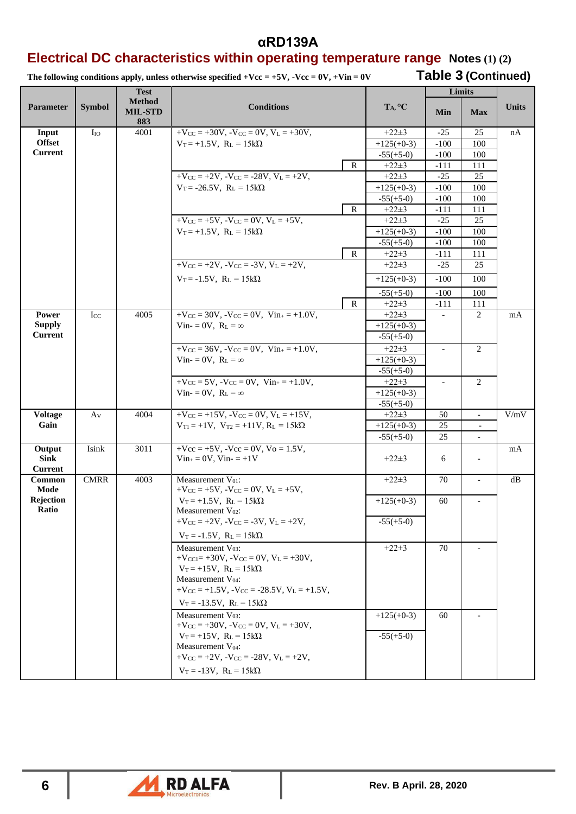### **Electrical DC characteristics within operating temperature range Notes (1) (2)**

The following conditions apply, unless otherwise specified +Vcc = +5V, -Vcc = 0V, +Vin = 0V Table 3 (Continued)

|                                         |                 | <b>Test</b>                            |                                                                                |                             |                          | Limits                   |              |
|-----------------------------------------|-----------------|----------------------------------------|--------------------------------------------------------------------------------|-----------------------------|--------------------------|--------------------------|--------------|
| <b>Parameter</b>                        | <b>Symbol</b>   | <b>Method</b><br><b>MIL-STD</b><br>883 | <b>Conditions</b>                                                              | $T_A, {}^{\circ}C$          | Min                      | <b>Max</b>               | <b>Units</b> |
| Input                                   | $I_{IO}$        | 4001                                   | $+V_{CC}$ = +30V, $-V_{CC}$ = 0V, $V_L$ = +30V,                                | $+22+3$                     | $-25$                    | 25                       | nA           |
| <b>Offset</b>                           |                 |                                        | $V_T = +1.5V$ , $R_L = 15k\Omega$                                              | $+125(+0-3)$                | $-100$                   | 100                      |              |
| <b>Current</b>                          |                 |                                        |                                                                                | $-55(+5-0)$                 | $-100$                   | 100                      |              |
|                                         |                 |                                        | $\mathbb{R}$                                                                   | $+22+3$                     | $-111$                   | 111                      |              |
|                                         |                 |                                        | $+V_{CC} = +2V$ , $-V_{CC} = -28V$ , $V_L = +2V$ ,                             | $+22+3$                     | $-25$                    | 25                       |              |
|                                         |                 |                                        | $V_T = -26.5V$ , $R_L = 15k\Omega$                                             | $+125(+0-3)$<br>$-55(+5-0)$ | $-100$<br>$-100$         | 100<br>100               |              |
|                                         |                 |                                        | $\mathbb{R}$                                                                   | $+22\pm3$                   | $-111$                   | 111                      |              |
|                                         |                 |                                        | $+V_{CC} = +5V$ , $-V_{CC} = 0V$ , $V_L = +5V$ ,                               | $+22+3$                     | $-25$                    | 25                       |              |
|                                         |                 |                                        | $V_T = +1.5V$ , $R_L = 15k\Omega$                                              | $+125(+0-3)$                | $-100$                   | 100                      |              |
|                                         |                 |                                        |                                                                                | $-55(+5-0)$                 | $-100$                   | 100                      |              |
|                                         |                 |                                        | $\mathbb{R}$                                                                   | $+22+3$                     | $-111$                   | 111                      |              |
|                                         |                 |                                        | $+V_{CC} = +2V$ , $-V_{CC} = -3V$ , $V_L = +2V$ ,                              | $+22+3$                     | $-25$                    | 25                       |              |
|                                         |                 |                                        | $V_T = -1.5V$ , $R_L = 15k\Omega$                                              | $+125(+0-3)$                | $-100$                   | 100                      |              |
|                                         |                 |                                        |                                                                                | $-55(+5-0)$                 | $-100$                   | 100                      |              |
|                                         |                 |                                        | $\mathbb{R}$                                                                   | $+22\pm3$                   | $-111$                   | 111                      |              |
| Power                                   | $_{\text{LCC}}$ | 4005                                   | $+V_{CC} = 30V$ , $-V_{CC} = 0V$ , $V_{in+} = +1.0V$ ,                         | $+22+3$                     | $\overline{a}$           | 2                        | mA           |
| <b>Supply</b>                           |                 |                                        | Vin- = 0V, $R_L = \infty$                                                      | $+125(+0-3)$                |                          |                          |              |
| <b>Current</b>                          |                 |                                        |                                                                                | $-55(+5-0)$                 |                          |                          |              |
|                                         |                 |                                        | $+V_{CC} = 36V$ , $-V_{CC} = 0V$ , $V_{in+} = +1.0V$ ,                         | $+22+3$                     | $\overline{\phantom{a}}$ | 2                        |              |
|                                         |                 |                                        | Vin- = 0V, $R_L = \infty$                                                      | $+125(+0-3)$                |                          |                          |              |
|                                         |                 |                                        |                                                                                | $-55(+5-0)$                 |                          |                          |              |
|                                         |                 |                                        | $+V_{CC} = 5V$ , $-V_{CC} = 0V$ , $V_{in+} = +1.0V$ ,                          | $+22\pm3$                   | $\overline{a}$           | 2                        |              |
|                                         |                 |                                        | Vin- = 0V, $R_L = \infty$                                                      | $+125(+0-3)$<br>$-55(+5-0)$ |                          |                          |              |
| <b>Voltage</b>                          | Av              | 4004                                   | $+V_{CC} = +15V$ , $-V_{CC} = 0V$ , $V_L = +15V$ ,                             | $+22+3$                     | 50                       | $\bar{\phantom{a}}$      | V/mV         |
| Gain                                    |                 |                                        | $V_{T1} = +1V$ , $V_{T2} = +11V$ , $R_L = 15k\Omega$                           | $+125(+0-3)$                | 25                       |                          |              |
|                                         |                 |                                        |                                                                                | $-55(+5-0)$                 | 25                       | $\blacksquare$           |              |
| Output<br><b>Sink</b><br><b>Current</b> | Isink           | 3011                                   | $+$ Vcc = $+$ 5V, $-$ Vcc = 0V, Vo = 1.5V,<br>$Vin_{+} = 0V$ , $Vin_{-} = +1V$ | $+22\pm3$                   | 6                        | $\overline{\phantom{a}}$ | mA           |
| Common                                  | <b>CMRR</b>     | 4003                                   | Measurement $V_{01}$ :                                                         | $+22+3$                     | 70                       | $\overline{\phantom{a}}$ | dB           |
| Mode                                    |                 |                                        | $+V_{CC} = +5V$ , $-V_{CC} = 0V$ , $V_L = +5V$ ,                               |                             |                          |                          |              |
| Rejection<br>Ratio                      |                 |                                        | $V_T = +1.5V$ , $R_L = 15k\Omega$<br>Measurement $V_{02}$ :                    | $+125(+0-3)$                | 60                       |                          |              |
|                                         |                 |                                        | $+V_{CC} = +2V$ , $-V_{CC} = -3V$ , $V_L = +2V$ ,                              | $-55(+5-0)$                 |                          |                          |              |
|                                         |                 |                                        | $V_T = -1.5V$ , $R_L = 15k\Omega$                                              |                             |                          |                          |              |
|                                         |                 |                                        | Measurement V <sub>03</sub> :                                                  | $+22+3$                     | 70                       |                          |              |
|                                         |                 |                                        | $+V_{\text{CC1}} = +30V$ , $-V_{\text{CC}} = 0V$ , $V_{\text{L}} = +30V$ ,     |                             |                          |                          |              |
|                                         |                 |                                        | $V_T = +15V$ , $R_L = 15k\Omega$                                               |                             |                          |                          |              |
|                                         |                 |                                        | Measurement $V_{04}$ :                                                         |                             |                          |                          |              |
|                                         |                 |                                        | $+V_{CC}$ = +1.5V, $-V_{CC}$ = -28.5V, $V_L$ = +1.5V,                          |                             |                          |                          |              |
|                                         |                 |                                        | $V_T = -13.5V$ , $R_L = 15k\Omega$                                             |                             |                          |                          |              |
|                                         |                 |                                        | Measurement V <sub>03</sub> :                                                  | $+125(+0-3)$                | 60                       |                          |              |
|                                         |                 |                                        | $+V_{CC} = +30V$ , $-V_{CC} = 0V$ , $V_L = +30V$ ,                             |                             |                          |                          |              |
|                                         |                 |                                        | $V_T = +15V$ , $R_L = 15k\Omega$<br>Measurement V <sub>04</sub> :              | $-55(+5-0)$                 |                          |                          |              |
|                                         |                 |                                        | $+V_{CC} = +2V$ , $-V_{CC} = -28V$ , $V_L = +2V$ ,                             |                             |                          |                          |              |
|                                         |                 |                                        | $V_T = -13V$ , $R_L = 15k\Omega$                                               |                             |                          |                          |              |
|                                         |                 |                                        |                                                                                |                             |                          |                          |              |

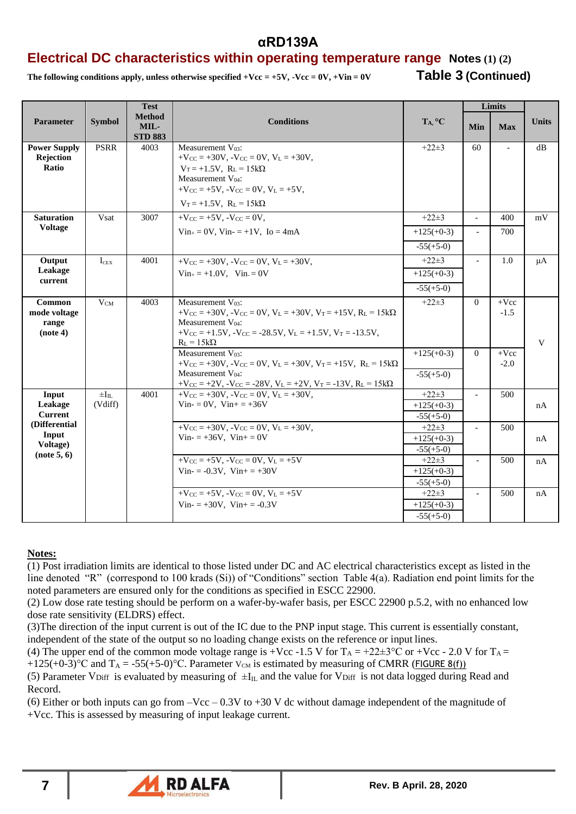### **Electrical DC characteristics within operating temperature range Notes (1) (2)**

The following conditions apply, unless otherwise specified  $+Vcc = +5V$ ,  $-Vcc = 0V$ ,  $+Vin = 0V$  **Table 3 (Continued)** 

|                                                   |                               | <b>Test</b>                             |                                                                                                                                                                                                                                                                                   |                                          |                          | Limits            |              |
|---------------------------------------------------|-------------------------------|-----------------------------------------|-----------------------------------------------------------------------------------------------------------------------------------------------------------------------------------------------------------------------------------------------------------------------------------|------------------------------------------|--------------------------|-------------------|--------------|
| <b>Parameter</b>                                  | <b>Symbol</b>                 | <b>Method</b><br>MIL-<br><b>STD 883</b> | <b>Conditions</b>                                                                                                                                                                                                                                                                 | T <sub>A</sub> , °C                      | Min                      | <b>Max</b>        | <b>Units</b> |
| <b>Power Supply</b><br><b>Rejection</b><br>Ratio  | <b>PSRR</b>                   | 4003                                    | Measurement V <sub>03</sub> :<br>$+V_{CC} = +30V$ , $-V_{CC} = 0V$ , $V_L = +30V$ ,<br>$V_T = +1.5V$ , $R_L = 15k\Omega$<br>Measurement V <sub>04</sub> :<br>$+V_{CC} = +5V$ , $-V_{CC} = 0V$ , $V_L = +5V$ ,<br>$V_T = +1.5V$ , $R_L = 15k\Omega$                                | $+22\pm3$                                | 60                       |                   | dB           |
| <b>Saturation</b>                                 | Vsat                          | 3007                                    | $+V_{CC} = +5V$ , $-V_{CC} = 0V$ ,                                                                                                                                                                                                                                                | $+22\pm3$                                | $\overline{a}$           | 400               | mV           |
| <b>Voltage</b>                                    |                               |                                         | $Vin_{+} = 0V$ , $Vin_{-} = +1V$ , $Io = 4mA$                                                                                                                                                                                                                                     | $+125(+0-3)$                             | $\overline{\phantom{a}}$ | 700               |              |
|                                                   |                               |                                         |                                                                                                                                                                                                                                                                                   | $-55(+5-0)$                              |                          |                   |              |
| Output                                            | $I_{CEX}$                     | 4001                                    | $+V_{CC} = +30V$ , $-V_{CC} = 0V$ , $V_L = +30V$ ,                                                                                                                                                                                                                                | $+22\pm3$                                | $\blacksquare$           | 1.0               | $\mu A$      |
| Leakage                                           |                               |                                         | $Vin_{+} = +1.0V$ , $Vin_{-} = 0V$                                                                                                                                                                                                                                                | $+125(+0-3)$                             |                          |                   |              |
| current                                           |                               |                                         |                                                                                                                                                                                                                                                                                   | $-55(+5-0)$                              |                          |                   |              |
| Common<br>mode voltage<br>range<br>(note 4)       | $V_{CM}$                      | 4003                                    | Measurement V <sub>03</sub> :<br>$+V_{\rm CC} = +30V$ , $-V_{\rm CC} = 0V$ , $V_{\rm L} = +30V$ , $V_{\rm T} = +15V$ , $R_{\rm L} = 15k\Omega$<br>Measurement V <sub>04</sub> :<br>$+V_{CC} = +1.5V$ , $-V_{CC} = -28.5V$ , $V_L = +1.5V$ , $V_T = -13.5V$ ,<br>$R_L = 15k\Omega$ | $+22+3$                                  | $\Omega$                 | $+$ Vcc<br>$-1.5$ | V            |
|                                                   |                               |                                         | Measurement V <sub>03</sub> :<br>$+V_{CC} = +30V$ , $-V_{CC} = 0V$ , $V_L = +30V$ , $V_T = +15V$ , $R_L = 15k\Omega$<br>Measurement V <sub>04</sub> :<br>$+V_{CC}$ = +2V, -V <sub>CC</sub> = -28V, V <sub>L</sub> = +2V, V <sub>T</sub> = -13V, R <sub>L</sub> = 15k $\Omega$     | $+125(+0-3)$<br>$-55(+5-0)$              | $\Omega$                 | $+Vec$<br>$-2.0$  |              |
| Input<br>Leakage<br><b>Current</b>                | $\pm I_{\rm II}$ .<br>(Vdiff) | 4001                                    | $+V_{CC} = +30V$ , $-V_{CC} = 0V$ , $V_L = +30V$ ,<br>$Vin = 0V$ , $Vin + = +36V$                                                                                                                                                                                                 | $+22\pm3$<br>$+125(+0-3)$<br>$-55(+5-0)$ | $\sim$                   | 500               | nA           |
| (Differential<br>Input<br>Voltage)<br>(note 5, 6) |                               |                                         | $+V_{CC} = +30V$ , $-V_{CC} = 0V$ , $V_L = +30V$ ,<br>$Vin = +36V$ , $Vin + = 0V$                                                                                                                                                                                                 | $+22\pm3$<br>$+125(+0-3)$<br>$-55(+5-0)$ |                          | 500               | nA           |
|                                                   |                               |                                         | $+V_{CC} = +5V$ , $-V_{CC} = 0V$ , $V_L = +5V$<br>$Vin = -0.3V$ , $Vin + = +30V$                                                                                                                                                                                                  | $+22+3$<br>$+125(+0-3)$<br>$-55(+5-0)$   | $\overline{\phantom{a}}$ | 500               | nA           |
|                                                   |                               |                                         | $+V_{CC} = +5V$ , $-V_{CC} = 0V$ , $V_L = +5V$                                                                                                                                                                                                                                    | $+22+3$                                  | $\overline{a}$           | 500               | nA           |
|                                                   |                               |                                         | Vin- $= +30V$ , Vin+ $= -0.3V$                                                                                                                                                                                                                                                    | $+125(+0-3)$                             |                          |                   |              |
|                                                   |                               |                                         |                                                                                                                                                                                                                                                                                   | $-55(+5-0)$                              |                          |                   |              |

### **Notes:**

(1) Post irradiation limits are identical to those listed under DC and AC electrical characteristics except as listed in the line denoted "R" (correspond to 100 krads (Si)) of "Conditions" section Table 4(a). Radiation end point limits for the noted parameters are ensured only for the conditions as specified in ESCC 22900.

(2) Low dose rate testing should be perform on a wafer-by-wafer basis, per ESCC 22900 p.5.2, with no enhanced low dose rate sensitivity (ELDRS) effect.

(3)The direction of the input current is out of the IC due to the PNP input stage. This current is essentially constant, independent of the state of the output so no loading change exists on the reference or input lines.

(4) The upper end of the common mode voltage range is +Vcc -1.5 V for  $T_A = +22 \pm 3^{\circ} \text{C}$  or +Vcc - 2.0 V for  $T_A$  = +125(+0-3)°C and  $T_A = -55(+5-0)$ °C. Parameter  $V_{CM}$  is estimated by measuring of CMRR (FIGURE 8(f))

(5) Parameter VDiff is evaluated by measuring of  $\pm I_{\text{IL}}$  and the value for VD<sub>iff</sub> is not data logged during Read and Record.

(6) Either or both inputs can go from  $-Vcc - 0.3V$  to  $+30$  V dc without damage independent of the magnitude of +Vcc. This is assessed by measuring of input leakage current.

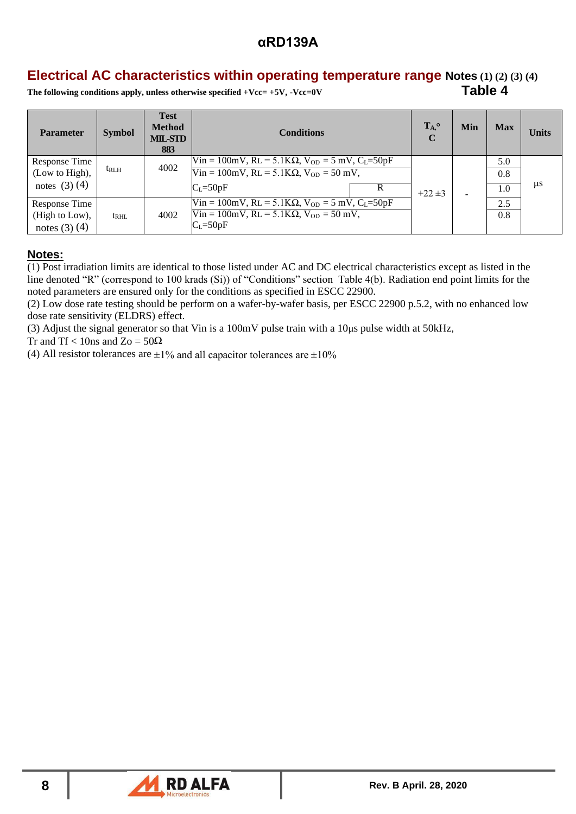## **Electrical AC characteristics within operating temperature range Notes (1) (2) (3) (4)**

The following conditions apply, unless otherwise specified +Vcc= +5V, -Vcc=0V Table 4

| <b>Parameter</b>     | <b>Symbol</b> | <b>Test</b><br><b>Method</b><br><b>MIL-STD</b><br>883 | <b>Conditions</b>                                                                                                       | $T_A$ °<br>$\mathbf C$                                        | Min                      | <b>Max</b> | <b>Units</b> |  |
|----------------------|---------------|-------------------------------------------------------|-------------------------------------------------------------------------------------------------------------------------|---------------------------------------------------------------|--------------------------|------------|--------------|--|
| <b>Response Time</b> |               | 4002                                                  | $\text{Win} = 100 \text{mV}, \text{RL} = 5.1 \text{K}\Omega, \text{V}_{OD} = 5 \text{ mV}, \text{C}_{L} = 50 \text{pF}$ |                                                               |                          | 5.0        |              |  |
| (Low to High),       | $t_{\rm RLH}$ |                                                       |                                                                                                                         | $V$ in = 100mV, RL = 5.1K $\Omega$ , V <sub>OD</sub> = 50 mV, |                          |            | 0.8          |  |
| notes $(3)(4)$       |               |                                                       | $C_{L} = 50pF$                                                                                                          | $+22 \pm 3$                                                   | $\overline{\phantom{0}}$ | 1.0        | $\mu$ s      |  |
| Response Time        |               |                                                       | Vin = 100mV, RL = 5.1K $\Omega$ , V <sub>OD</sub> = 5 mV, C <sub>L</sub> =50pF                                          |                                                               |                          | 2.5        |              |  |
| (High to Low),       | $t_{\rm RHL}$ | 4002                                                  | $Win = 100mV, RL = 5.1K\Omega, V_{OD} = 50 mV,$                                                                         |                                                               |                          | 0.8        |              |  |
| notes $(3)$ $(4)$    |               |                                                       | $C_L = 50pF$                                                                                                            |                                                               |                          |            |              |  |

### **Notes:**

 $\overline{(1)}$  Post irradiation limits are identical to those listed under AC and DC electrical characteristics except as listed in the line denoted "R" (correspond to 100 krads (Si)) of "Conditions" section Table 4(b). Radiation end point limits for the noted parameters are ensured only for the conditions as specified in ESCC 22900.

(2) Low dose rate testing should be perform on a wafer-by-wafer basis, per ESCC 22900 p.5.2, with no enhanced low dose rate sensitivity (ELDRS) effect.

(3) Adjust the signal generator so that Vin is a  $100 \text{mV}$  pulse train with a  $10 \mu s$  pulse width at  $50 \text{kHz}$ ,

Tr and Tf < 10ns and Zo =  $50\Omega$ 

(4) All resistor tolerances are  $\pm 1\%$  and all capacitor tolerances are  $\pm 10\%$ 

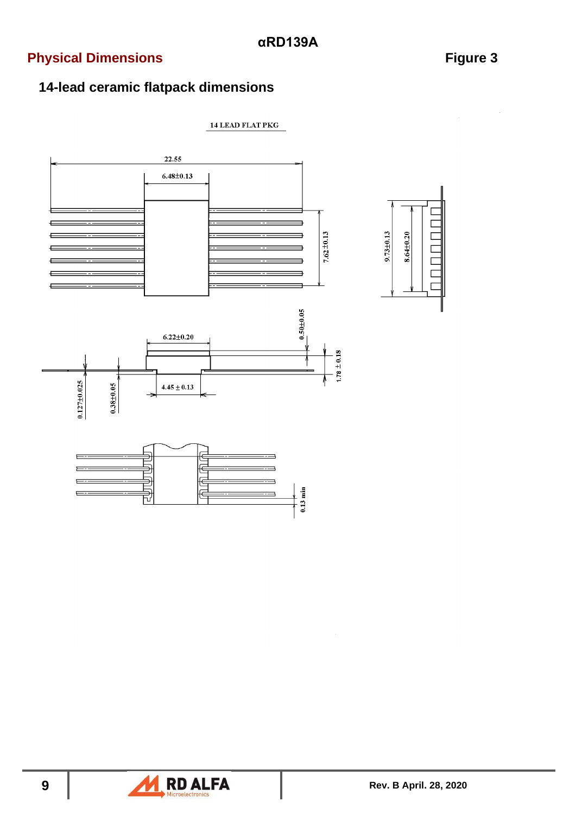# **Physical Dimensions Figure 3**

# **14-lead ceramic flatpack dimensions**